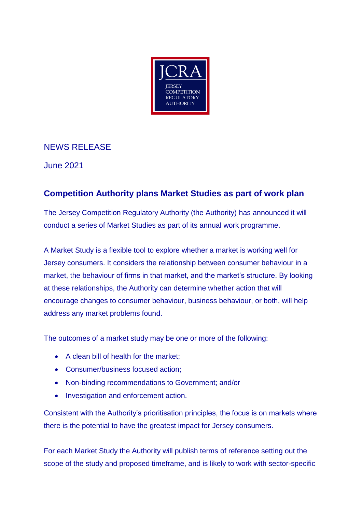

## NEWS RELEASE

June 2021

## **Competition Authority plans Market Studies as part of work plan**

The Jersey Competition Regulatory Authority (the Authority) has announced it will conduct a series of Market Studies as part of its annual work programme.

A Market Study is a flexible tool to explore whether a market is working well for Jersey consumers. It considers the relationship between consumer behaviour in a market, the behaviour of firms in that market, and the market's structure. By looking at these relationships, the Authority can determine whether action that will encourage changes to consumer behaviour, business behaviour, or both, will help address any market problems found.

The outcomes of a market study may be one or more of the following:

- A clean bill of health for the market:
- Consumer/business focused action;
- Non-binding recommendations to Government; and/or
- Investigation and enforcement action.

Consistent with the Authority's prioritisation principles, the focus is on markets where there is the potential to have the greatest impact for Jersey consumers.

For each Market Study the Authority will publish terms of reference setting out the scope of the study and proposed timeframe, and is likely to work with sector-specific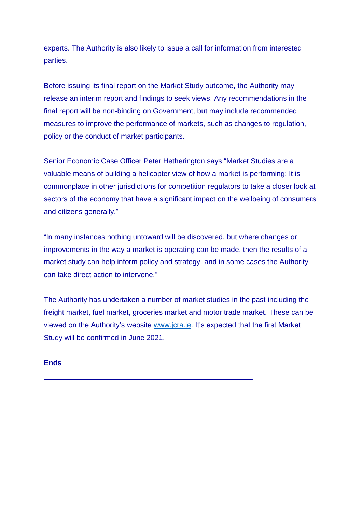experts. The Authority is also likely to issue a call for information from interested parties.

Before issuing its final report on the Market Study outcome, the Authority may release an interim report and findings to seek views. Any recommendations in the final report will be non-binding on Government, but may include recommended measures to improve the performance of markets, such as changes to regulation, policy or the conduct of market participants.

Senior Economic Case Officer Peter Hetherington says "Market Studies are a valuable means of building a helicopter view of how a market is performing: It is commonplace in other jurisdictions for competition regulators to take a closer look at sectors of the economy that have a significant impact on the wellbeing of consumers and citizens generally."

"In many instances nothing untoward will be discovered, but where changes or improvements in the way a market is operating can be made, then the results of a market study can help inform policy and strategy, and in some cases the Authority can take direct action to intervene."

The Authority has undertaken a number of market studies in the past including the freight market, fuel market, groceries market and motor trade market. These can be viewed on the Authority's website [www.jcra.je.](http://www.jcra.je/) It's expected that the first Market Study will be confirmed in June 2021.

## **Ends**